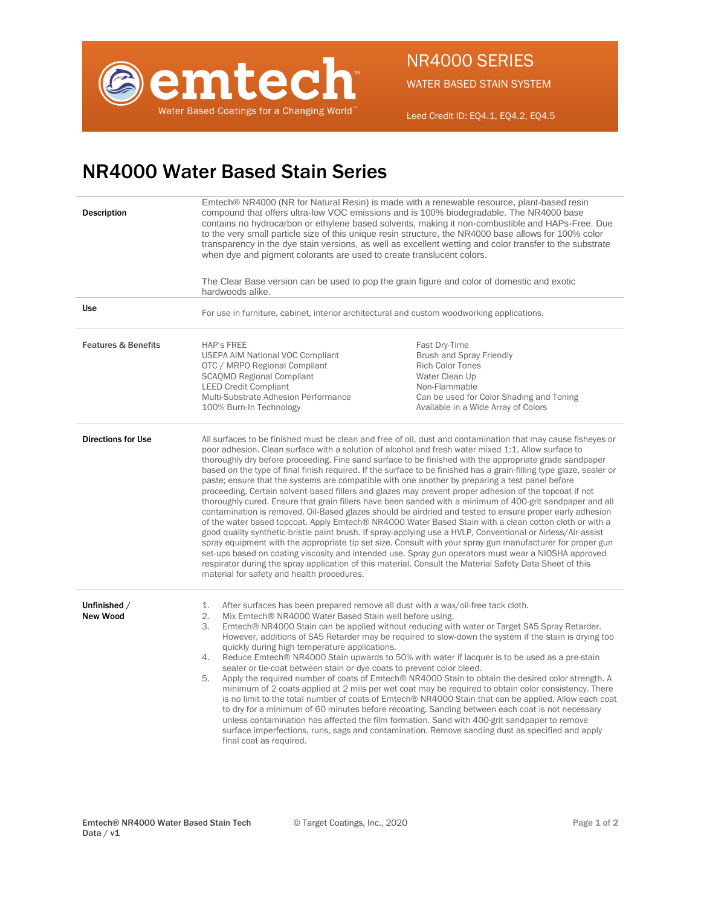

WATER BASED STAIN SYSTEM

Leed Credit ID: EQ4.1, EQ4.2, EQ4.5

## NR4000 Water Based Stain Series

| Description                    | Emtech® NR4000 (NR for Natural Resin) is made with a renewable resource, plant-based resin<br>compound that offers ultra-low VOC emissions and is 100% biodegradable. The NR4000 base<br>contains no hydrocarbon or ethylene based solvents, making it non-combustible and HAPs-Free. Due<br>to the very small particle size of this unique resin structure, the NR4000 base allows for 100% color<br>transparency in the dye stain versions, as well as excellent wetting and color transfer to the substrate<br>when dye and pigment colorants are used to create translucent colors.<br>The Clear Base version can be used to pop the grain figure and color of domestic and exotic<br>hardwoods alike.                                                                                                                                                                                                                                                                                                                                                                                                                                                                                                                                                                                                                                                                                                                                                                                            |                                                                                                                                                                                                   |
|--------------------------------|-------------------------------------------------------------------------------------------------------------------------------------------------------------------------------------------------------------------------------------------------------------------------------------------------------------------------------------------------------------------------------------------------------------------------------------------------------------------------------------------------------------------------------------------------------------------------------------------------------------------------------------------------------------------------------------------------------------------------------------------------------------------------------------------------------------------------------------------------------------------------------------------------------------------------------------------------------------------------------------------------------------------------------------------------------------------------------------------------------------------------------------------------------------------------------------------------------------------------------------------------------------------------------------------------------------------------------------------------------------------------------------------------------------------------------------------------------------------------------------------------------|---------------------------------------------------------------------------------------------------------------------------------------------------------------------------------------------------|
| <b>Use</b>                     | For use in furniture, cabinet, interior architectural and custom woodworking applications.                                                                                                                                                                                                                                                                                                                                                                                                                                                                                                                                                                                                                                                                                                                                                                                                                                                                                                                                                                                                                                                                                                                                                                                                                                                                                                                                                                                                            |                                                                                                                                                                                                   |
| <b>Features &amp; Benefits</b> | <b>HAP's FREE</b><br><b>USEPA AIM National VOC Compliant</b><br>OTC / MRPO Regional Compliant<br><b>SCAQMD Regional Compliant</b><br><b>LEED Credit Compliant</b><br>Multi-Substrate Adhesion Performance<br>100% Burn-In Technology                                                                                                                                                                                                                                                                                                                                                                                                                                                                                                                                                                                                                                                                                                                                                                                                                                                                                                                                                                                                                                                                                                                                                                                                                                                                  | Fast Dry-Time<br><b>Brush and Spray Friendly</b><br><b>Rich Color Tones</b><br>Water Clean Up<br>Non-Flammable<br>Can be used for Color Shading and Toning<br>Available in a Wide Array of Colors |
| <b>Directions for Use</b>      | All surfaces to be finished must be clean and free of oil, dust and contamination that may cause fisheyes or<br>poor adhesion. Clean surface with a solution of alcohol and fresh water mixed 1:1. Allow surface to<br>thoroughly dry before proceeding. Fine sand surface to be finished with the appropriate grade sandpaper<br>based on the type of final finish required. If the surface to be finished has a grain-filling type glaze, sealer or<br>paste; ensure that the systems are compatible with one another by preparing a test panel before<br>proceeding. Certain solvent-based fillers and glazes may prevent proper adhesion of the topcoat if not<br>thoroughly cured. Ensure that grain fillers have been sanded with a minimum of 400-grit sandpaper and all<br>contamination is removed. Oil-Based glazes should be airdried and tested to ensure proper early adhesion<br>of the water based topcoat. Apply Emtech® NR4000 Water Based Stain with a clean cotton cloth or with a<br>good quality synthetic-bristle paint brush. If spray-applying use a HVLP, Conventional or Airless/Air-assist<br>spray equipment with the appropriate tip set size. Consult with your spray gun manufacturer for proper gun<br>set-ups based on coating viscosity and intended use. Spray gun operators must wear a NIOSHA approved<br>respirator during the spray application of this material. Consult the Material Safety Data Sheet of this<br>material for safety and health procedures. |                                                                                                                                                                                                   |
| Unfinished /<br>New Wood       | After surfaces has been prepared remove all dust with a wax/oil-free tack cloth.<br>1.<br>2.<br>Mix Emtech® NR4000 Water Based Stain well before using.<br>3.<br>Emtech® NR4000 Stain can be applied without reducing with water or Target SA5 Spray Retarder.<br>However, additions of SA5 Retarder may be required to slow-down the system if the stain is drying too<br>quickly during high temperature applications.<br>Reduce Emtech® NR4000 Stain upwards to 50% with water if lacquer is to be used as a pre-stain<br>4.<br>sealer or tie-coat between stain or dye coats to prevent color bleed.<br>Apply the required number of coats of Emtech® NR4000 Stain to obtain the desired color strength. A<br>5.<br>minimum of 2 coats applied at 2 mils per wet coat may be required to obtain color consistency. There<br>is no limit to the total number of coats of Emtech® NR4000 Stain that can be applied. Allow each coat<br>to dry for a minimum of 60 minutes before recoating. Sanding between each coat is not necessary<br>unless contamination has affected the film formation. Sand with 400-grit sandpaper to remove<br>surface imperfections, runs, sags and contamination. Remove sanding dust as specified and apply<br>final coat as required.                                                                                                                                                                                                                                |                                                                                                                                                                                                   |